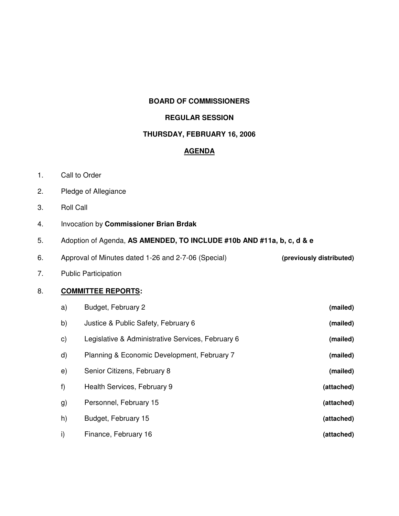### **BOARD OF COMMISSIONERS**

### **REGULAR SESSION**

## **THURSDAY, FEBRUARY 16, 2006**

## **AGENDA**

- 1. Call to Order
- 2. Pledge of Allegiance
- 3. Roll Call
- 4. Invocation by **Commissioner Brian Brdak**
- 5. Adoption of Agenda, **AS AMENDED, TO INCLUDE #10b AND #11a, b, c, d & e**
- 6. Approval of Minutes dated 1-26 and 2-7-06 (Special) **(previously distributed)**
- 7. Public Participation

## 8. **COMMITTEE REPORTS:**

| a)           | Budget, February 2                                | (mailed)   |
|--------------|---------------------------------------------------|------------|
| b)           | Justice & Public Safety, February 6               | (mailed)   |
| C)           | Legislative & Administrative Services, February 6 | (mailed)   |
| d)           | Planning & Economic Development, February 7       | (mailed)   |
| e)           | Senior Citizens, February 8                       | (mailed)   |
| f)           | Health Services, February 9                       | (attached) |
| g)           | Personnel, February 15                            | (attached) |
| h)           | Budget, February 15                               | (attached) |
| $\mathsf{i}$ | Finance, February 16                              | (attached) |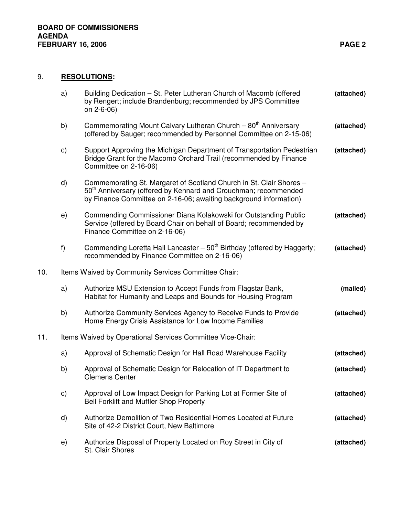# 9. **RESOLUTIONS:**

|     | a)                                                         | Building Dedication – St. Peter Lutheran Church of Macomb (offered<br>by Rengert; include Brandenburg; recommended by JPS Committee<br>on 2-6-06)                                                                       | (attached) |  |  |
|-----|------------------------------------------------------------|-------------------------------------------------------------------------------------------------------------------------------------------------------------------------------------------------------------------------|------------|--|--|
|     | b)                                                         | Commemorating Mount Calvary Lutheran Church - 80 <sup>th</sup> Anniversary<br>(offered by Sauger; recommended by Personnel Committee on 2-15-06)                                                                        | (attached) |  |  |
|     | c)                                                         | Support Approving the Michigan Department of Transportation Pedestrian<br>Bridge Grant for the Macomb Orchard Trail (recommended by Finance<br>Committee on 2-16-06)                                                    | (attached) |  |  |
|     | d)                                                         | Commemorating St. Margaret of Scotland Church in St. Clair Shores -<br>50 <sup>th</sup> Anniversary (offered by Kennard and Crouchman; recommended<br>by Finance Committee on 2-16-06; awaiting background information) |            |  |  |
|     | e)                                                         | Commending Commissioner Diana Kolakowski for Outstanding Public<br>Service (offered by Board Chair on behalf of Board; recommended by<br>Finance Committee on 2-16-06)                                                  | (attached) |  |  |
|     | f)                                                         | Commending Loretta Hall Lancaster $-50th$ Birthday (offered by Haggerty;<br>recommended by Finance Committee on 2-16-06)                                                                                                | (attached) |  |  |
| 10. | Items Waived by Community Services Committee Chair:        |                                                                                                                                                                                                                         |            |  |  |
|     | a)                                                         | Authorize MSU Extension to Accept Funds from Flagstar Bank,<br>Habitat for Humanity and Leaps and Bounds for Housing Program                                                                                            | (mailed)   |  |  |
|     | b)                                                         | Authorize Community Services Agency to Receive Funds to Provide<br>Home Energy Crisis Assistance for Low Income Families                                                                                                | (attached) |  |  |
| 11. | Items Waived by Operational Services Committee Vice-Chair: |                                                                                                                                                                                                                         |            |  |  |
|     | a)                                                         | Approval of Schematic Design for Hall Road Warehouse Facility                                                                                                                                                           | (attached) |  |  |
|     | b)                                                         | Approval of Schematic Design for Relocation of IT Department to<br><b>Clemens Center</b>                                                                                                                                | (attached) |  |  |
|     | C)                                                         | Approval of Low Impact Design for Parking Lot at Former Site of<br>Bell Forklift and Muffler Shop Property                                                                                                              | (attached) |  |  |
|     | d)                                                         | Authorize Demolition of Two Residential Homes Located at Future<br>Site of 42-2 District Court, New Baltimore                                                                                                           | (attached) |  |  |
|     | e)                                                         | Authorize Disposal of Property Located on Roy Street in City of<br>St. Clair Shores                                                                                                                                     | (attached) |  |  |